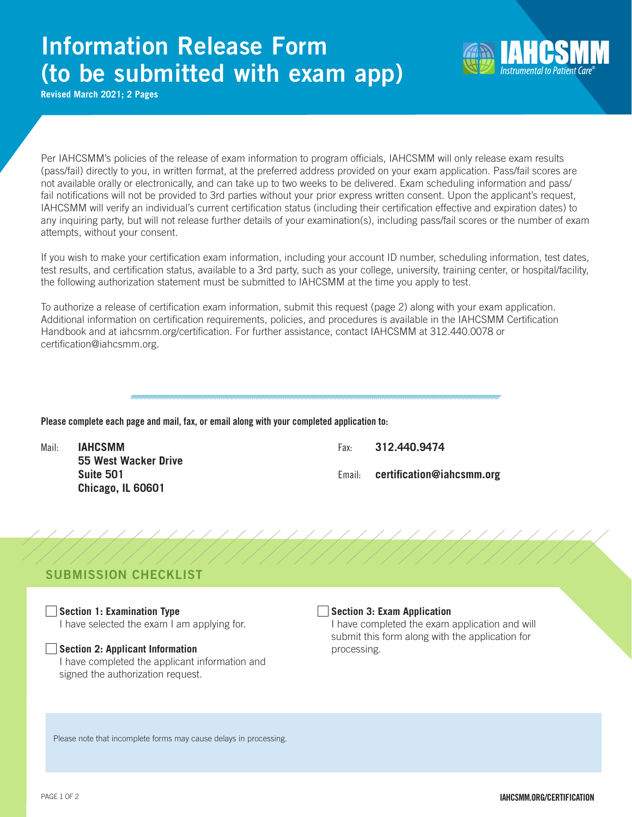# Information Release Form (to be submitted with exam app)



**Revised March 2021; 2 Pages**

Per IAHCSMM's policies of the release of exam information to program officials, IAHCSMM will only release exam results (pass/fail) directly to you, in written format, at the preferred address provided on your exam application. Pass/fail scores are not available orally or electronically, and can take up to two weeks to be delivered. Exam scheduling information and pass/ fail notifications will not be provided to 3rd parties without your prior express written consent. Upon the applicant's request, IAHCSMM will verify an individual's current certification status (including their certification effective and expiration dates) to any inquiring party, but will not release further details of your examination(s), including pass/fail scores or the number of exam attempts, without your consent.

If you wish to make your certification exam information, including your account ID number, scheduling information, test dates, test results, and certification status, available to a 3rd party, such as your college, university, training center, or hospital/facility, the following authorization statement must be submitted to IAHCSMM at the time you apply to test.

To authorize a release of certification exam information, submit this request (page 2) along with your exam application. Additional information on certification requirements, policies, and procedures is available in the IAHCSMM Certification Handbook and at iahcsmm.org/certification. For further assistance, contact IAHCSMM at 312.440.0078 or certification@iahcsmm.org.

### Please complete each page and mail, fax, or email along with your completed application to:

Mail: **IAHCSMM** Fax: **312.440.9474 55 West Wacker Drive Suite 501** Email: **certification@iahcsmm.org Chicago, IL 60601**

# SUBMISSION CHECKLIST

**Section 1: Examination Type** I have selected the exam I am applying for.

# **Section 2: Applicant Information**

I have completed the applicant information and signed the authorization request.

### **Section 3: Exam Application**

I have completed the exam application and will submit this form along with the application for processing.

Please note that incomplete forms may cause delays in processing.